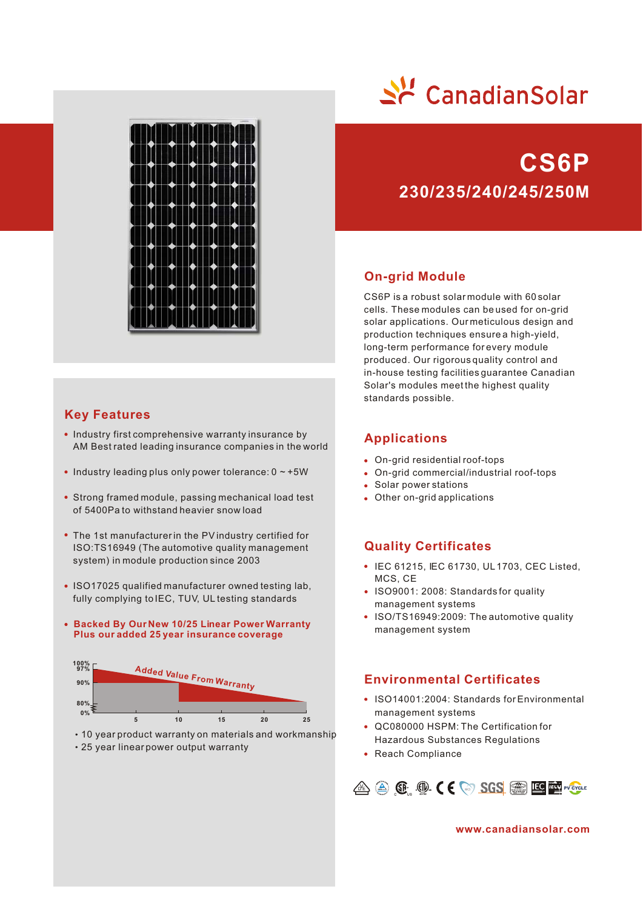

# **Key Features**

- Industry first comprehensive warranty insurance by AM Best rated leading insurance companies in the world
- $\bullet$  Industry leading plus only power tolerance:  $0 \sim +5W$
- Strong framed module, passing mechanical load test of 5400Pa to withstand heavier snow load
- The 1st manufacturer in the PV industry certified for ISO:TS16949 (The automotive quality management system) in module production since 2003
- ISO17025 qualified manufacturer owned testing lab, fully complying to IEC, TUV, UL testing standards
- **Backed By Our New 10/25 Linear Power Warranty Plus our added 25 year insurance coverage**



10 year product warranty on materials and workmanship

25 year linear power output warranty



# **230/235/240/245/250M CS6P**

### **On-grid Module**

CS6P is a robust solar module with 60 solar cells. These modules can be used for on-grid solar applications. Our meticulous design and production techniques ensure a high-yield, long-term performance for every module produced. Our rigorous quality control and in-house testing facilities guarantee Canadian Solar's modules meet the highest quality standards possible.

#### **Applications**

- On-grid residential roof-tops
- On-grid commercial/industrial roof-tops
- Solar power stations
- Other on-grid applications

### **Quality Certificates**

- IEC 61215, IEC 61730, UL 1703, CEC Listed, MCS, CE
- ISO9001: 2008: Standards for quality management systems
- ISO/TS16949:2009: The automotive quality management system

## **Environmental Certificates**

- ISO14001:2004: Standards for Environmental management systems
- QC080000 HSPM: The Certification for Hazardous Substances Regulations
- Reach Compliance



**www.canadiansolar.com**